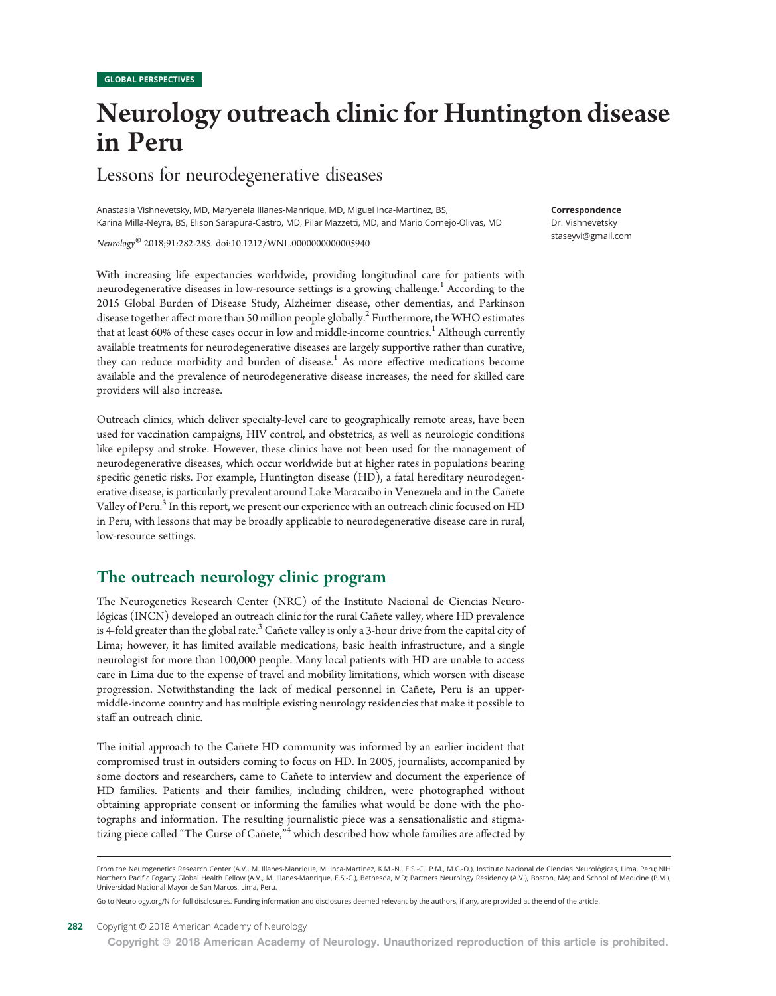## Neurology outreach clinic for Huntington disease in Peru

## Lessons for neurodegenerative diseases

Anastasia Vishnevetsky, MD, Maryenela Illanes-Manrique, MD, Miguel Inca-Martinez, BS, Karina Milla-Neyra, BS, Elison Sarapura-Castro, MD, Pilar Mazzetti, MD, and Mario Cornejo-Olivas, MD

Neurology® 2018;91:282-285. doi:10.1212/WNL.0000000000005940

With increasing life expectancies worldwide, providing longitudinal care for patients with neurodegenerative diseases in low-resource settings is a growing challenge.<sup>1</sup> According to the 2015 Global Burden of Disease Study, Alzheimer disease, other dementias, and Parkinson disease together affect more than 50 million people globally.<sup>2</sup> Furthermore, the WHO estimates that at least 60% of these cases occur in low and middle-income countries.<sup>1</sup> Although currently available treatments for neurodegenerative diseases are largely supportive rather than curative, they can reduce morbidity and burden of disease.<sup>1</sup> As more effective medications become available and the prevalence of neurodegenerative disease increases, the need for skilled care providers will also increase.

Outreach clinics, which deliver specialty-level care to geographically remote areas, have been used for vaccination campaigns, HIV control, and obstetrics, as well as neurologic conditions like epilepsy and stroke. However, these clinics have not been used for the management of neurodegenerative diseases, which occur worldwide but at higher rates in populations bearing specific genetic risks. For example, Huntington disease (HD), a fatal hereditary neurodegenerative disease, is particularly prevalent around Lake Maracaibo in Venezuela and in the Cañete Valley of Peru.<sup>3</sup> In this report, we present our experience with an outreach clinic focused on HD in Peru, with lessons that may be broadly applicable to neurodegenerative disease care in rural, low-resource settings.

## The outreach neurology clinic program

The Neurogenetics Research Center (NRC) of the Instituto Nacional de Ciencias Neurológicas (INCN) developed an outreach clinic for the rural Cañete valley, where HD prevalence is 4-fold greater than the global rate.<sup>3</sup> Cañete valley is only a 3-hour drive from the capital city of Lima; however, it has limited available medications, basic health infrastructure, and a single neurologist for more than 100,000 people. Many local patients with HD are unable to access care in Lima due to the expense of travel and mobility limitations, which worsen with disease progression. Notwithstanding the lack of medical personnel in Cañete, Peru is an uppermiddle-income country and has multiple existing neurology residencies that make it possible to staff an outreach clinic.

The initial approach to the Cañete HD community was informed by an earlier incident that compromised trust in outsiders coming to focus on HD. In 2005, journalists, accompanied by some doctors and researchers, came to Cañete to interview and document the experience of HD families. Patients and their families, including children, were photographed without obtaining appropriate consent or informing the families what would be done with the photographs and information. The resulting journalistic piece was a sensationalistic and stigmatizing piece called "The Curse of Cañete,"<sup>4</sup> which described how whole families are affected by

Go to [Neurology.org/N](http://n.neurology.org/lookup/doi/10.1212/WNL.0000000000005940) for full disclosures. Funding information and disclosures deemed relevant by the authors, if any, are provided at the end of the article.

Correspondence Dr. Vishnevetsky [staseyvi@gmail.com](mailto:staseyvi@gmail.com)

Copyright © 2018 American Academy of Neurology. Unauthorized reproduction of this article is prohibited.

From the Neurogenetics Research Center (A.V., M. Illanes-Manrique, M. Inca-Martinez, K.M.-N., E.S.-C., P.M., M.C.-O.), Instituto Nacional de Ciencias Neurológicas, Lima, Peru; NIH Northern Pacific Fogarty Global Health Fellow (A.V., M. Illanes-Manrique, E.S.-C.), Bethesda, MD; Partners Neurology Residency (A.V.), Boston, MA; and School of Medicine (P.M.), Universidad Nacional Mayor de San Marcos, Lima, Peru.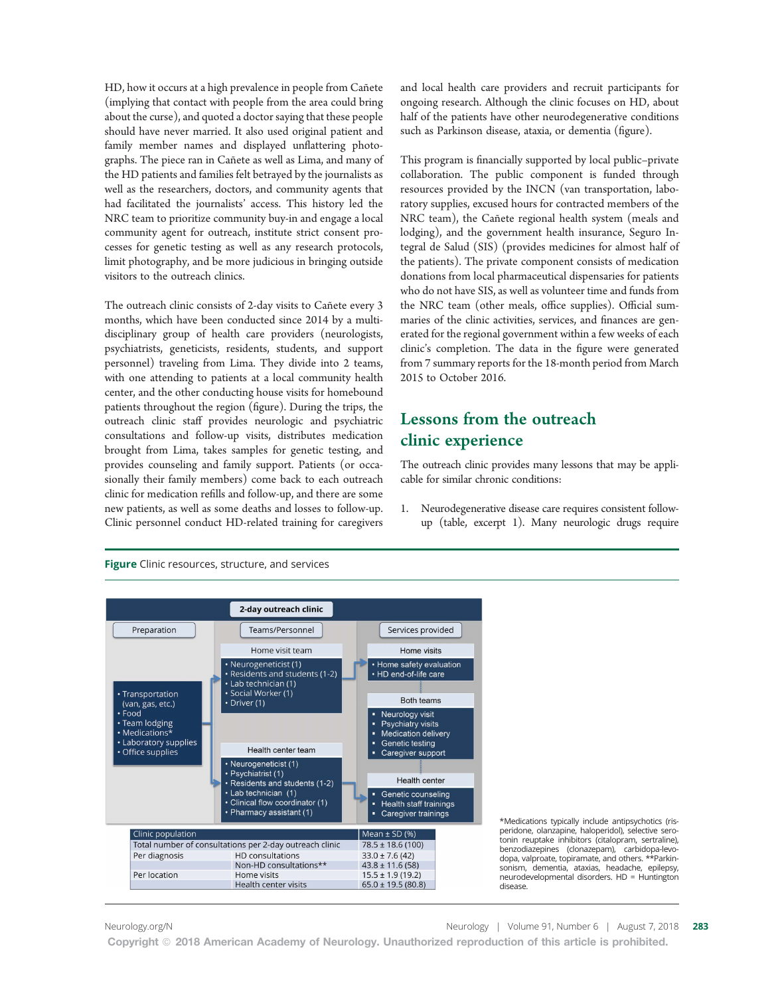HD, how it occurs at a high prevalence in people from Cañete (implying that contact with people from the area could bring about the curse), and quoted a doctor saying that these people should have never married. It also used original patient and family member names and displayed unflattering photographs. The piece ran in Cañete as well as Lima, and many of the HD patients and families felt betrayed by the journalists as well as the researchers, doctors, and community agents that had facilitated the journalists' access. This history led the NRC team to prioritize community buy-in and engage a local community agent for outreach, institute strict consent processes for genetic testing as well as any research protocols, limit photography, and be more judicious in bringing outside visitors to the outreach clinics.

The outreach clinic consists of 2-day visits to Cañete every 3 months, which have been conducted since 2014 by a multidisciplinary group of health care providers (neurologists, psychiatrists, geneticists, residents, students, and support personnel) traveling from Lima. They divide into 2 teams, with one attending to patients at a local community health center, and the other conducting house visits for homebound patients throughout the region (figure). During the trips, the outreach clinic staff provides neurologic and psychiatric consultations and follow-up visits, distributes medication brought from Lima, takes samples for genetic testing, and provides counseling and family support. Patients (or occasionally their family members) come back to each outreach clinic for medication refills and follow-up, and there are some new patients, as well as some deaths and losses to follow-up. Clinic personnel conduct HD-related training for caregivers

and local health care providers and recruit participants for ongoing research. Although the clinic focuses on HD, about half of the patients have other neurodegenerative conditions such as Parkinson disease, ataxia, or dementia (figure).

This program is financially supported by local public–private collaboration. The public component is funded through resources provided by the INCN (van transportation, laboratory supplies, excused hours for contracted members of the NRC team), the Cañete regional health system (meals and lodging), and the government health insurance, Seguro Integral de Salud (SIS) (provides medicines for almost half of the patients). The private component consists of medication donations from local pharmaceutical dispensaries for patients who do not have SIS, as well as volunteer time and funds from the NRC team (other meals, office supplies). Official summaries of the clinic activities, services, and finances are generated for the regional government within a few weeks of each clinic's completion. The data in the figure were generated from 7 summary reports for the 18-month period from March 2015 to October 2016.

## Lessons from the outreach clinic experience

The outreach clinic provides many lessons that may be applicable for similar chronic conditions:

1. Neurodegenerative disease care requires consistent followup (table, excerpt 1). Many neurologic drugs require



\*Medications typically include antipsychotics (risperidone, olanzapine, haloperidol), selective serotonin reuptake inhibitors (citalopram, sertraline), benzodiazepines (clonazepam), carbidopa-levodopa, valproate, topiramate, and others. \*\*Parkinsonism, dementia, ataxias, headache, epilepsy, neurodevelopmental disorders. HD = Huntington disease.

## [Neurology.org/N](http://neurology.org/n) Neurology | Volume 91, Number 6 | August 7, 2018 283

Copyright © 2018 American Academy of Neurology. Unauthorized reproduction of this article is prohibited.

**Figure** Clinic resources, structure, and services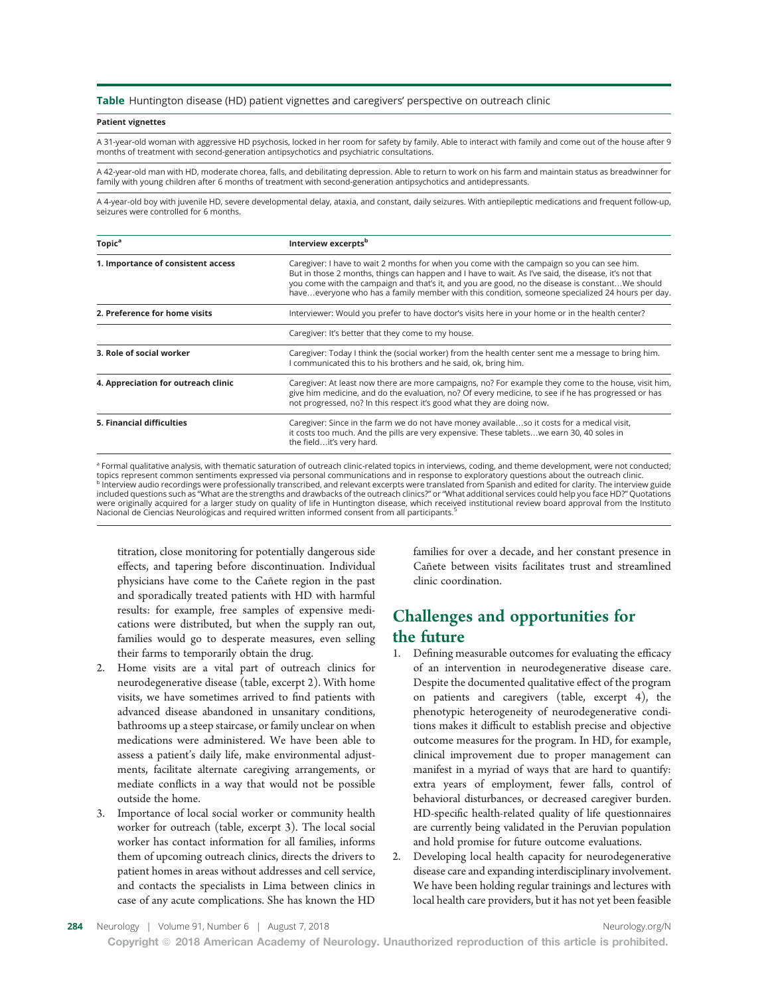#### Table Huntington disease (HD) patient vignettes and caregivers' perspective on outreach clinic

#### Patient vignettes

A 31-year-old woman with aggressive HD psychosis, locked in her room for safety by family. Able to interact with family and come out of the house after 9 months of treatment with second-generation antipsychotics and psychiatric consultations.

A 42-year-old man with HD, moderate chorea, falls, and debilitating depression. Able to return to work on his farm and maintain status as breadwinner for family with young children after 6 months of treatment with second-generation antipsychotics and antidepressants.

A 4-year-old boy with juvenile HD, severe developmental delay, ataxia, and constant, daily seizures. With antiepileptic medications and frequent follow-up, seizures were controlled for 6 months.

| Interview excerpts <sup>b</sup>                                                                                                                                                                                                                                                                                                                                                                           |
|-----------------------------------------------------------------------------------------------------------------------------------------------------------------------------------------------------------------------------------------------------------------------------------------------------------------------------------------------------------------------------------------------------------|
| Caregiver: I have to wait 2 months for when you come with the campaign so you can see him.<br>But in those 2 months, things can happen and I have to wait. As I've said, the disease, it's not that<br>you come with the campaign and that's it, and you are good, no the disease is constantWe should<br>haveeveryone who has a family member with this condition, someone specialized 24 hours per day. |
| Interviewer: Would you prefer to have doctor's visits here in your home or in the health center?                                                                                                                                                                                                                                                                                                          |
| Caregiver: It's better that they come to my house.                                                                                                                                                                                                                                                                                                                                                        |
| Caregiver: Today I think the (social worker) from the health center sent me a message to bring him.<br>I communicated this to his brothers and he said, ok, bring him.                                                                                                                                                                                                                                    |
| Caregiver: At least now there are more campaigns, no? For example they come to the house, visit him,<br>give him medicine, and do the evaluation, no? Of every medicine, to see if he has progressed or has<br>not progressed, no? In this respect it's good what they are doing now.                                                                                                                     |
| Caregiver: Since in the farm we do not have money availableso it costs for a medical visit,<br>it costs too much. And the pills are very expensive. These tabletswe earn 30, 40 soles in<br>the fieldit's very hard.                                                                                                                                                                                      |
|                                                                                                                                                                                                                                                                                                                                                                                                           |

<sup>a</sup> Formal qualitative analysis, with thematic saturation of outreach clinic-related topics in interviews, coding, and theme development, were not conducted; topics represent common sentiments expressed via personal communications and in response to exploratory questions about the outreach clinic. <sup>b</sup> Interview audio recordings were professionally transcribed, and relevant excerpts were translated from Spanish and edited for clarity. The interview guide included questions such as "What are the strengths and drawbacks of the outreach clinics?" or "What additional services could help you face HD?" Quotations were originally acquired for a larger study on quality of life in Huntington disease, which received institutional review board approval from the Instituto Nacional de Ciencias Neurológicas and required written informed consent from all participants.<sup>5</sup>

titration, close monitoring for potentially dangerous side effects, and tapering before discontinuation. Individual physicians have come to the Cañete region in the past and sporadically treated patients with HD with harmful results: for example, free samples of expensive medications were distributed, but when the supply ran out, families would go to desperate measures, even selling their farms to temporarily obtain the drug.

- 2. Home visits are a vital part of outreach clinics for neurodegenerative disease (table, excerpt 2). With home visits, we have sometimes arrived to find patients with advanced disease abandoned in unsanitary conditions, bathrooms up a steep staircase, or family unclear on when medications were administered. We have been able to assess a patient's daily life, make environmental adjustments, facilitate alternate caregiving arrangements, or mediate conflicts in a way that would not be possible outside the home.
- Importance of local social worker or community health worker for outreach (table, excerpt 3). The local social worker has contact information for all families, informs them of upcoming outreach clinics, directs the drivers to patient homes in areas without addresses and cell service, and contacts the specialists in Lima between clinics in case of any acute complications. She has known the HD

families for over a decade, and her constant presence in Cañete between visits facilitates trust and streamlined clinic coordination.

## Challenges and opportunities for the future

- 1. Defining measurable outcomes for evaluating the efficacy of an intervention in neurodegenerative disease care. Despite the documented qualitative effect of the program on patients and caregivers (table, excerpt 4), the phenotypic heterogeneity of neurodegenerative conditions makes it difficult to establish precise and objective outcome measures for the program. In HD, for example, clinical improvement due to proper management can manifest in a myriad of ways that are hard to quantify: extra years of employment, fewer falls, control of behavioral disturbances, or decreased caregiver burden. HD-specific health-related quality of life questionnaires are currently being validated in the Peruvian population and hold promise for future outcome evaluations.
- 2. Developing local health capacity for neurodegenerative disease care and expanding interdisciplinary involvement. We have been holding regular trainings and lectures with local health care providers, but it has not yet been feasible

284 Neurology | Volume 91, Number 6 | August 7, 2018 [Neurology.org/N](http://neurology.org/n)

Copyright © 2018 American Academy of Neurology. Unauthorized reproduction of this article is prohibited.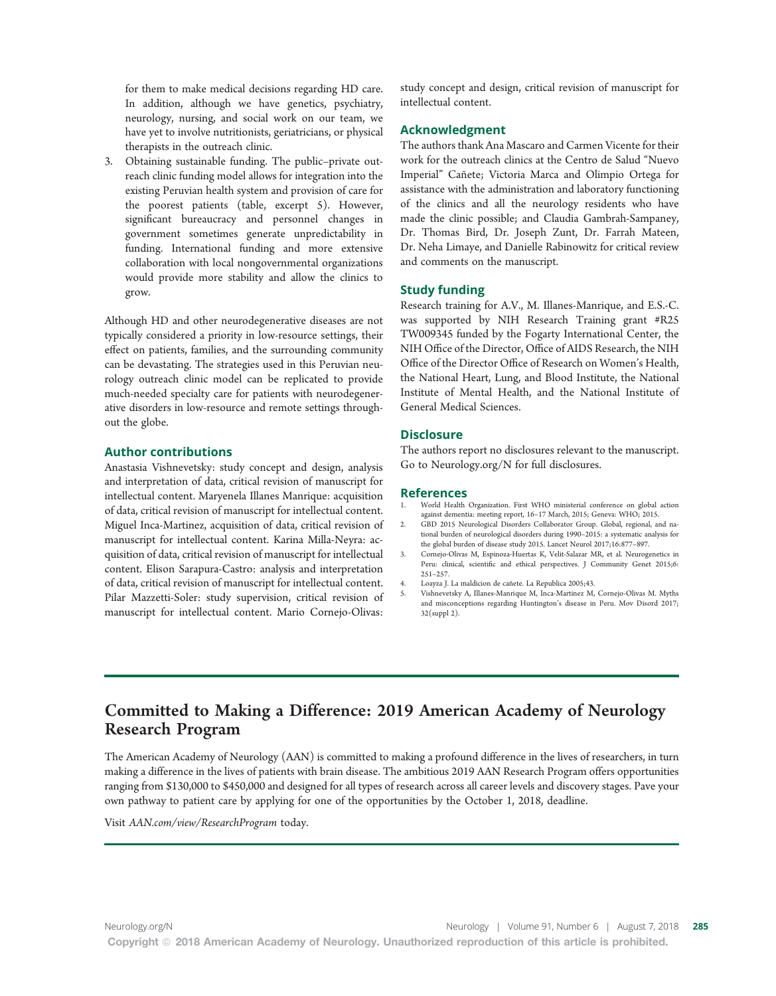for them to make medical decisions regarding HD care. In addition, although we have genetics, psychiatry, neurology, nursing, and social work on our team, we have yet to involve nutritionists, geriatricians, or physical therapists in the outreach clinic.

3. Obtaining sustainable funding. The public–private outreach clinic funding model allows for integration into the existing Peruvian health system and provision of care for the poorest patients (table, excerpt 5). However, significant bureaucracy and personnel changes in government sometimes generate unpredictability in funding. International funding and more extensive collaboration with local nongovernmental organizations would provide more stability and allow the clinics to grow.

Although HD and other neurodegenerative diseases are not typically considered a priority in low-resource settings, their effect on patients, families, and the surrounding community can be devastating. The strategies used in this Peruvian neurology outreach clinic model can be replicated to provide much-needed specialty care for patients with neurodegenerative disorders in low-resource and remote settings throughout the globe.

#### Author contributions

Anastasia Vishnevetsky: study concept and design, analysis and interpretation of data, critical revision of manuscript for intellectual content. Maryenela Illanes Manrique: acquisition of data, critical revision of manuscript for intellectual content. Miguel Inca-Martinez, acquisition of data, critical revision of manuscript for intellectual content. Karina Milla-Neyra: acquisition of data, critical revision of manuscript for intellectual content. Elison Sarapura-Castro: analysis and interpretation of data, critical revision of manuscript for intellectual content. Pilar Mazzetti-Soler: study supervision, critical revision of manuscript for intellectual content. Mario Cornejo-Olivas: study concept and design, critical revision of manuscript for intellectual content.

#### Acknowledgment

The authors thank Ana Mascaro and Carmen Vicente for their work for the outreach clinics at the Centro de Salud "Nuevo Imperial" Cañete; Victoria Marca and Olimpio Ortega for assistance with the administration and laboratory functioning of the clinics and all the neurology residents who have made the clinic possible; and Claudia Gambrah-Sampaney, Dr. Thomas Bird, Dr. Joseph Zunt, Dr. Farrah Mateen, Dr. Neha Limaye, and Danielle Rabinowitz for critical review and comments on the manuscript.

#### Study funding

Research training for A.V., M. Illanes-Manrique, and E.S.-C. was supported by NIH Research Training grant #R25 TW009345 funded by the Fogarty International Center, the NIH Office of the Director, Office of AIDS Research, the NIH Office of the Director Office of Research on Women's Health, the National Heart, Lung, and Blood Institute, the National Institute of Mental Health, and the National Institute of General Medical Sciences.

#### **Disclosure**

The authors report no disclosures relevant to the manuscript. Go to [Neurology.org/N](http://n.neurology.org/lookup/doi/10.1212/WNL.0000000000005940) for full disclosures.

#### References

- 1. World Health Organization. First WHO ministerial conference on global action against dementia: meeting report, 16–17 March, 2015; Geneva: WHO; 2015.
- 2. GBD 2015 Neurological Disorders Collaborator Group. Global, regional, and national burden of neurological disorders during 1990–2015: a systematic analysis for the global burden of disease study 2015. Lancet Neurol 2017;16:877–897.
- 3. Cornejo-Olivas M, Espinoza-Huertas K, Velit-Salazar MR, et al. Neurogenetics in Peru: clinical, scientific and ethical perspectives. J Community Genet 2015;6: 251–257.
- 4. Loayza J. La maldicion de cañete. La Republica 2005;43.
- 5. Vishnevetsky A, Illanes-Manrique M, Inca-Martinez M, Cornejo-Olivas M. Myths and misconceptions regarding Huntington's disease in Peru. Mov Disord 2017; 32(suppl 2).

## Committed to Making a Difference: 2019 American Academy of Neurology Research Program

The American Academy of Neurology (AAN) is committed to making a profound difference in the lives of researchers, in turn making a difference in the lives of patients with brain disease. The ambitious 2019 AAN Research Program offers opportunities ranging from \$130,000 to \$450,000 and designed for all types of research across all career levels and discovery stages. Pave your own pathway to patient care by applying for one of the opportunities by the October 1, 2018, deadline.

Visit AAN.com/view/ResearchProgram today.